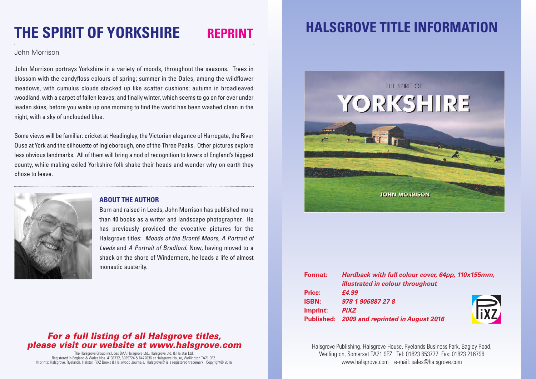# **THE SPIRIT OF YORKSHIRE REPRINT**

#### John Morrison

John Morrison portrays Yorkshire in a variety of moods, throughout the seasons. Trees in blossom with the candyfloss colours of spring; summer in the Dales, among the wildflower meadows, with cumulus clouds stacked up like scatter cushions; autumn in broadleaved woodland, with a carpet of fallen leaves; and finally winter, which seems to go on for ever under leaden skies, before you wake up one morning to find the world has been washed clean in the night, with a sky of unclouded blue.

Some views will be familiar: cricket at Headingley, the Victorian elegance of Harrogate, the River Ouse at York and the silhouette of Ingleborough, one of the Three Peaks. Other pictures explore less obvious landmarks. All of them will bring a nod of recognition to lovers of England's biggest county, while making exiled Yorkshire folk shake their heads and wonder why on earth they chose to leave.



#### **ABOUT THE AUTHOR**

Born and raised in Leeds, John Morrison has published more than 40 books as a writer and landscape photographer. He has previously provided the evocative pictures for the Halsgrove titles: *Moods of the Brontë Moors, A Portrait of Leeds* and *A Portrait of Bradford*. Now, having moved to a shack on the shore of Windermere, he leads a life of almost monastic austerity.

### *For a full listing of all Halsgrove titles, please visit our website at www.halsgrove.com*

The Halsgrove Group includes DAA Halsgrove Ltd., Halsgrove Ltd. & Halstar Ltd. Registered in England & Wales Nos. 4136732, 6029724 & 6472636 at Halsgrove House, Wellington TA21 9PZ. Imprints: Halsgrove, Ryelands, Halstar, PiXZ Books & Halswood Journals. Halsgrove® is a registered trademark. Copyright© 2016

## **HALSGROVE TITLE INFORMATION**



| <b>Format:</b> | Hardback with full colour cover, 64pp, 110x155mm, |  |
|----------------|---------------------------------------------------|--|
|                | <b>illustrated in colour throughout</b>           |  |
| Price:         | £4.99                                             |  |
| <b>ISBN:</b>   | 978 1 906887 27 8                                 |  |
| Imprint:       | <b>PiXZ</b>                                       |  |
|                | Published: 2009 and reprinted in August 2016      |  |
|                | iX7                                               |  |

Halsgrove Publishing, Halsgrove House, Ryelands Business Park, Bagley Road, Wellington, Somerset TA21 9PZ Tel: 01823 653777 Fax: 01823 216796 www.halsgrove.com e-mail: sales@halsgrove.com